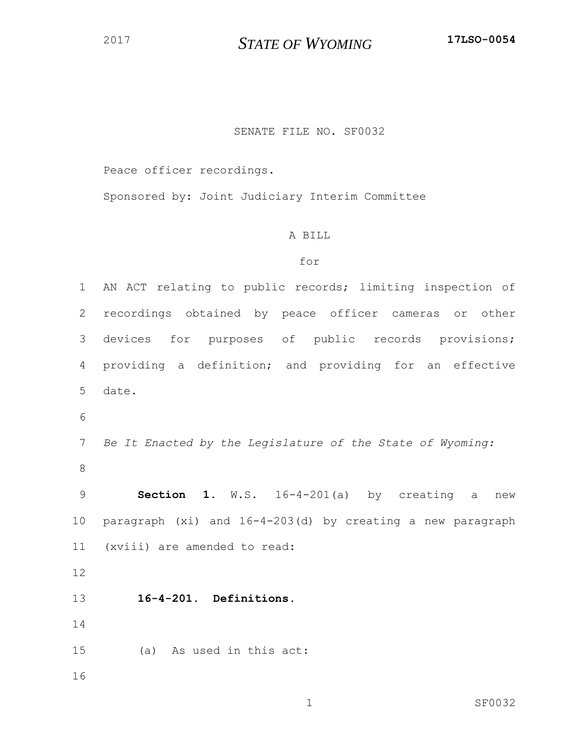*STATE OF WYOMING* **17LSO-0054**

## SENATE FILE NO. SF0032

Peace officer recordings.

Sponsored by: Joint Judiciary Interim Committee

## A BILL

## for

 AN ACT relating to public records; limiting inspection of recordings obtained by peace officer cameras or other devices for purposes of public records provisions; providing a definition; and providing for an effective date. *Be It Enacted by the Legislature of the State of Wyoming:* **Section 1.** W.S. 16-4-201(a) by creating a new paragraph (xi) and 16-4-203(d) by creating a new paragraph (xviii) are amended to read: **16-4-201. Definitions.** (a) As used in this act: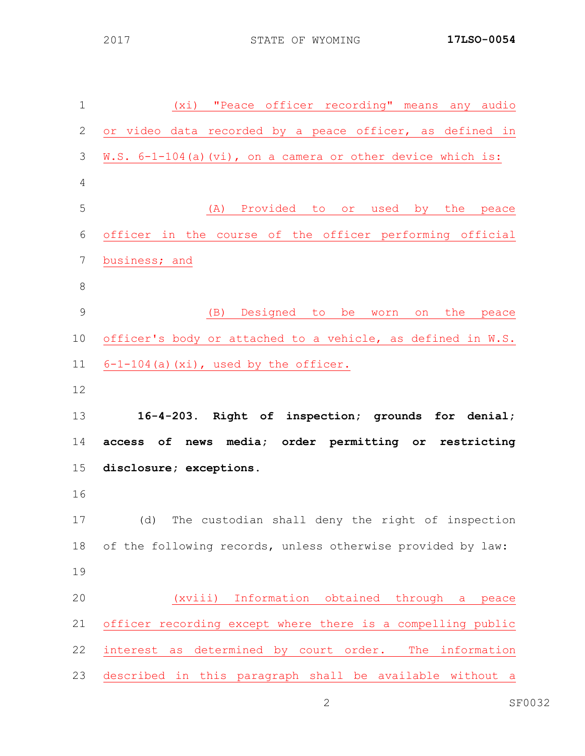| $\mathbf 1$     | (xi) "Peace officer recording" means any audio              |
|-----------------|-------------------------------------------------------------|
| 2               | or video data recorded by a peace officer, as defined in    |
| 3               | W.S. 6-1-104(a)(vi), on a camera or other device which is:  |
| 4               |                                                             |
| 5               | (A) Provided to<br>or used by the<br>peace                  |
| 6               | officer in the course of the officer performing official    |
| $7\phantom{.0}$ | business; and                                               |
| 8               |                                                             |
| 9               | (B) Designed to be worn on the peace                        |
| 10              | officer's body or attached to a vehicle, as defined in W.S. |
| 11              | $6-1-104$ (a) (xi), used by the officer.                    |
| 12              |                                                             |
| 13              | 16-4-203. Right of inspection; grounds for denial;          |
| 14              | media; order permitting or restricting<br>access of<br>news |
| 15              | disclosure; exceptions.                                     |
| 16              |                                                             |
| 17              | (d) The custodian shall deny the right of inspection        |
| 18              | of the following records, unless otherwise provided by law: |
| 19              |                                                             |
| 20              | (xviii) Information obtained through<br>a<br>peace          |
| 21              | officer recording except where there is a compelling public |
| 22              | interest as determined by court order.<br>The information   |
| 23              | described in this paragraph shall be available without a    |